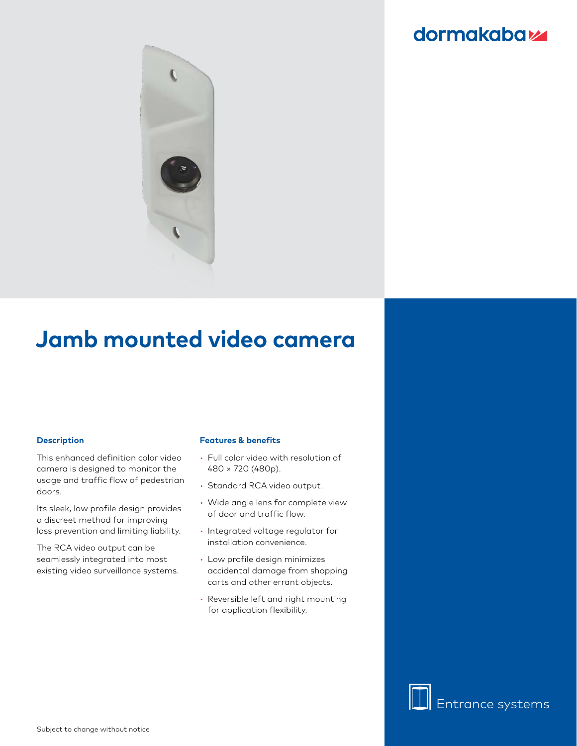### dormakabaz



# **Jamb mounted video camera**

#### **Description**

This enhanced definition color video camera is designed to monitor the usage and traffic flow of pedestrian doors.

Its sleek, low profile design provides a discreet method for improving loss prevention and limiting liability.

The RCA video output can be seamlessly integrated into most existing video surveillance systems.

#### **Features & benefits**

- Full color video with resolution of 480 × 720 (480p).
- Standard RCA video output.
- Wide angle lens for complete view of door and traffic flow.
- Integrated voltage regulator for installation convenience.
- Low profile design minimizes accidental damage from shopping carts and other errant objects.
- Reversible left and right mounting for application flexibility.